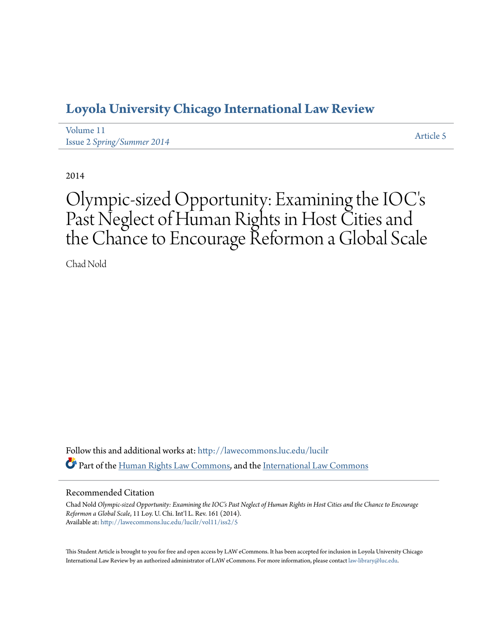## **[Loyola University Chicago International Law Review](http://lawecommons.luc.edu/lucilr?utm_source=lawecommons.luc.edu%2Flucilr%2Fvol11%2Fiss2%2F5&utm_medium=PDF&utm_campaign=PDFCoverPages)**

| Volume 11                         | Article 5 |
|-----------------------------------|-----------|
| <b>Issue 2 Spring/Summer 2014</b> |           |

2014

# Olympic-sized Opportunity: Examining the IOC' s Past Neglect of Human Rights in Host Cities and the Chance to Encourage Reformon a Global Scale

Chad Nold

Follow this and additional works at: [http://lawecommons.luc.edu/lucilr](http://lawecommons.luc.edu/lucilr?utm_source=lawecommons.luc.edu%2Flucilr%2Fvol11%2Fiss2%2F5&utm_medium=PDF&utm_campaign=PDFCoverPages) Part of the [Human Rights Law Commons,](http://network.bepress.com/hgg/discipline/847?utm_source=lawecommons.luc.edu%2Flucilr%2Fvol11%2Fiss2%2F5&utm_medium=PDF&utm_campaign=PDFCoverPages) and the [International Law Commons](http://network.bepress.com/hgg/discipline/609?utm_source=lawecommons.luc.edu%2Flucilr%2Fvol11%2Fiss2%2F5&utm_medium=PDF&utm_campaign=PDFCoverPages)

#### Recommended Citation

Chad Nold *Olympic-sized Opportunity: Examining the IOC's Past Neglect of Human Rights in Host Cities and the Chance to Encourage Reformon a Global Scale*, 11 Loy. U. Chi. Int'l L. Rev. 161 (2014). Available at: [http://lawecommons.luc.edu/lucilr/vol11/iss2/5](http://lawecommons.luc.edu/lucilr/vol11/iss2/5?utm_source=lawecommons.luc.edu%2Flucilr%2Fvol11%2Fiss2%2F5&utm_medium=PDF&utm_campaign=PDFCoverPages)

This Student Article is brought to you for free and open access by LAW eCommons. It has been accepted for inclusion in Loyola University Chicago International Law Review by an authorized administrator of LAW eCommons. For more information, please contact [law-library@luc.edu.](mailto:law-library@luc.edu)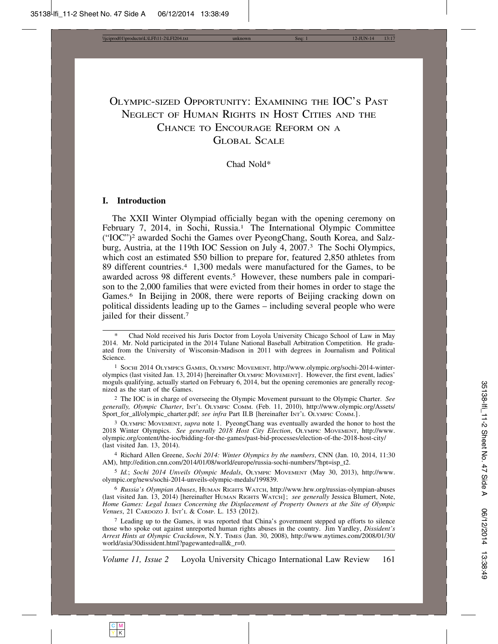### OLYMPIC-SIZED OPPORTUNITY: EXAMINING THE IOC'S PAST NEGLECT OF HUMAN RIGHTS IN HOST CITIES AND THE CHANCE TO ENCOURAGE REFORM ON A GLOBAL SCALE

#### Chad Nold\*

#### **I. Introduction**

The XXII Winter Olympiad officially began with the opening ceremony on February 7, 2014, in Sochi, Russia.<sup>1</sup> The International Olympic Committee ("IOC")2 awarded Sochi the Games over PyeongChang, South Korea, and Salzburg, Austria, at the 119th IOC Session on July 4, 2007.3 The Sochi Olympics, which cost an estimated \$50 billion to prepare for, featured 2,850 athletes from 89 different countries.4 1,300 medals were manufactured for the Games, to be awarded across 98 different events.<sup>5</sup> However, these numbers pale in comparison to the 2,000 families that were evicted from their homes in order to stage the Games.<sup>6</sup> In Beijing in 2008, there were reports of Beijing cracking down on political dissidents leading up to the Games – including several people who were jailed for their dissent.7

1 SOCHI 2014 OLYMPICS GAMES, OLYMPIC MOVEMENT, http://www.olympic.org/sochi-2014-winterolympics (last visited Jan. 13, 2014) [hereinafter OLYMPIC MOVEMENT] . However, the first event, ladies' moguls qualifying, actually started on February 6, 2014, but the opening ceremonies are generally recognized as the start of the Games.

2 The IOC is in charge of overseeing the Olympic Movement pursuant to the Olympic Charter. *See generally, Olympic Charter*, INT'L OLYMPIC COMM. (Feb. 11, 2010), http://www.olympic.org/Assets/ Sport\_for\_all/olympic\_charter.pdf; *see infra* Part II.B [hereinafter INT'L OLYMPIC COMM.] .

3 OLYMPIC MOVEMENT, *supra* note 1. PyeongChang was eventually awarded the honor to host the 2018 Winter Olympics. *See generally 2018 Host City Election*, OLYMPIC MOVEMENT, http://www. olympic.org/content/the-ioc/bidding-for-the-games/past-bid-processes/election-of-the-2018-host-city/ (last visited Jan. 13, 2014).

4 Richard Allen Greene, *Sochi 2014: Winter Olympics by the numbers*, CNN (Jan. 10, 2014, 11:30 AM), http://edition.cnn.com/2014/01/08/world/europe/russia-sochi-numbers/?hpt=isp\_t2.

5 *Id.*; *Sochi 2014 Unveils Olympic Medals*, OLYMPIC MOVEMENT (May 30, 2013), http://www. olympic.org/news/sochi-2014-unveils-olympic-medals/199839.

6 *Russia's Olympian Abuses*, HUMAN RIGHTS WATCH, http://www.hrw.org/russias-olympian-abuses (last visited Jan. 13, 2014) [hereinafter HUMAN RIGHTS WATCH] ; *see generally* Jessica Blumert, Note, *Home Games: Legal Issues Concerning the Displacement of Property Owners at the Site of Olympic Venues*, 21 CARDOZO J. INT'L & COMP. L. 153 (2012).

7 Leading up to the Games, it was reported that China's government stepped up efforts to silence those who spoke out against unreported human rights abuses in the country. Jim Yardley, *Dissident's Arrest Hints at Olympic Crackdown*, N.Y. TIMES (Jan. 30, 2008), http://www.nytimes.com/2008/01/30/ world/asia/30dissident.html?pagewanted=all&\_r=0.

*Volume 11, Issue 2* Loyola University Chicago International Law Review 161

C M Y | K

Chad Nold received his Juris Doctor from Loyola University Chicago School of Law in May 2014. Mr. Nold participated in the 2014 Tulane National Baseball Arbitration Competition. He graduated from the University of Wisconsin-Madison in 2011 with degrees in Journalism and Political Science.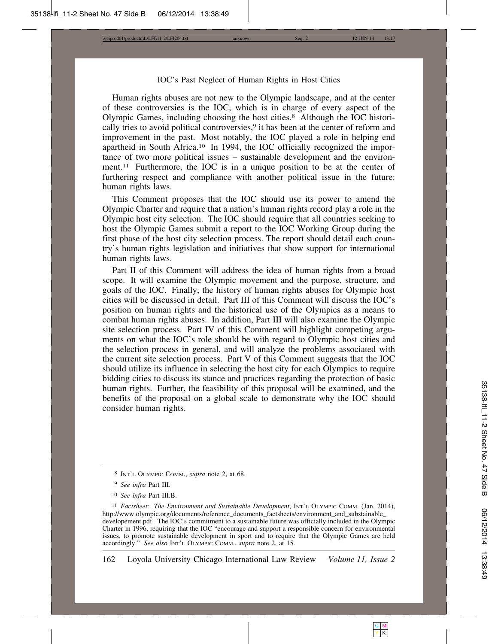\\jciprod01\productn\L\LFI\11-2\LFI204.txt unknown Seq: 2 12-JUN-14 13:17

#### IOC's Past Neglect of Human Rights in Host Cities

Human rights abuses are not new to the Olympic landscape, and at the center of these controversies is the IOC, which is in charge of every aspect of the Olympic Games, including choosing the host cities.8 Although the IOC historically tries to avoid political controversies,<sup>9</sup> it has been at the center of reform and improvement in the past. Most notably, the IOC played a role in helping end apartheid in South Africa.10 In 1994, the IOC officially recognized the importance of two more political issues – sustainable development and the environment.<sup>11</sup> Furthermore, the IOC is in a unique position to be at the center of furthering respect and compliance with another political issue in the future: human rights laws.

This Comment proposes that the IOC should use its power to amend the Olympic Charter and require that a nation's human rights record play a role in the Olympic host city selection. The IOC should require that all countries seeking to host the Olympic Games submit a report to the IOC Working Group during the first phase of the host city selection process. The report should detail each country's human rights legislation and initiatives that show support for international human rights laws.

Part II of this Comment will address the idea of human rights from a broad scope. It will examine the Olympic movement and the purpose, structure, and goals of the IOC. Finally, the history of human rights abuses for Olympic host cities will be discussed in detail. Part III of this Comment will discuss the IOC's position on human rights and the historical use of the Olympics as a means to combat human rights abuses. In addition, Part III will also examine the Olympic site selection process. Part IV of this Comment will highlight competing arguments on what the IOC's role should be with regard to Olympic host cities and the selection process in general, and will analyze the problems associated with the current site selection process. Part V of this Comment suggests that the IOC should utilize its influence in selecting the host city for each Olympics to require bidding cities to discuss its stance and practices regarding the protection of basic human rights. Further, the feasibility of this proposal will be examined, and the benefits of the proposal on a global scale to demonstrate why the IOC should consider human rights.

<sup>8</sup> INT'L OLYMPIC COMM., *supra* note 2, at 68.

<sup>9</sup> *See infra* Part III.

<sup>10</sup> *See infra* Part III.B.

<sup>&</sup>lt;sup>11</sup> *Factsheet: The Environment and Sustainable Development*, INT'L OLYMPIC COMM. (Jan. 2014), http://www.olympic.org/documents/reference\_documents\_factsheets/environment\_and\_substainable\_ developement.pdf. The IOC's commitment to a sustainable future was officially included in the Olympic Charter in 1996, requiring that the IOC "encourage and support a responsible concern for environmental issues, to promote sustainable development in sport and to require that the Olympic Games are held accordingly." *See also* INT'L OLYMPIC COMM., *supra* note 2, at 15.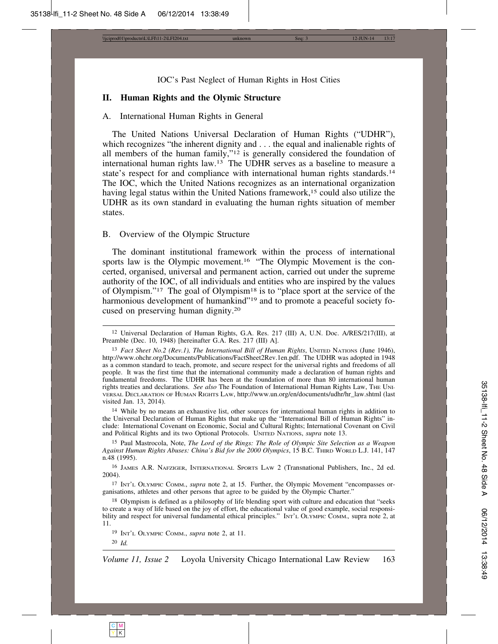\\jciprod01\productn\L\LFI\11-2\LFI204.txt unknown Seq: 3 12-JUN-14 13:17

IOC's Past Neglect of Human Rights in Host Cities

#### **II. Human Rights and the Olymic Structure**

#### A. International Human Rights in General

The United Nations Universal Declaration of Human Rights ("UDHR"), which recognizes "the inherent dignity and . . . the equal and inalienable rights of all members of the human family,"12 is generally considered the foundation of international human rights law.13 The UDHR serves as a baseline to measure a state's respect for and compliance with international human rights standards.<sup>14</sup> The IOC, which the United Nations recognizes as an international organization having legal status within the United Nations framework,<sup>15</sup> could also utilize the UDHR as its own standard in evaluating the human rights situation of member states.

#### B. Overview of the Olympic Structure

The dominant institutional framework within the process of international sports law is the Olympic movement.<sup>16</sup> "The Olympic Movement is the concerted, organised, universal and permanent action, carried out under the supreme authority of the IOC, of all individuals and entities who are inspired by the values of Olympism."17 The goal of Olympism18 is to "place sport at the service of the harmonious development of humankind"<sup>19</sup> and to promote a peaceful society focused on preserving human dignity.20

14 While by no means an exhaustive list, other sources for international human rights in addition to the Universal Declaration of Human Rights that make up the "International Bill of Human Rights" include: International Covenant on Economic, Social and Cultural Rights; International Covenant on Civil and Political Rights and its two Optional Protocols. UNITED NATIONS, *supra* note 13.

15 Paul Mastrocola, Note, *The Lord of the Rings: The Role of Olympic Site Selection as a Weapon Against Human Rights Abuses: China's Bid for the 2000 Olympics*, 15 B.C. THIRD WORLD L.J. 141, 147 n.48 (1995).

16 JAMES A.R. NAFZIGER, INTERNATIONAL SPORTS LAW 2 (Transnational Publishers, Inc., 2d ed. 2004).

17 INT'L OLYMPIC COMM., *supra* note 2, at 15. Further, the Olympic Movement "encompasses organisations, athletes and other persons that agree to be guided by the Olympic Charter."

18 Olympism is defined as a philosophy of life blending sport with culture and education that "seeks to create a way of life based on the joy of effort, the educational value of good example, social responsibility and respect for universal fundamental ethical principles." INT'L OLYMPIC COMM.*,* supra note 2, at 11.

19 INT'L OLYMPIC COMM., *supra* note 2, at 11.



<sup>12</sup> Universal Declaration of Human Rights, G.A. Res. 217 (III) A, U.N. Doc. A/RES/217(III), at Preamble (Dec. 10, 1948) [hereinafter G.A. Res. 217 (III) A].

<sup>13</sup> *Fact Sheet No.2 (Rev.1), The International Bill of Human Rights*, UNITED NATIONS (June 1946), http://www.ohchr.org/Documents/Publications/FactSheet2Rev.1en.pdf. The UDHR was adopted in 1948 as a common standard to teach, promote, and secure respect for the universal rights and freedoms of all people. It was the first time that the international community made a declaration of human rights and fundamental freedoms. The UDHR has been at the foundation of more than 80 international human rights treaties and declarations. *See also* The Foundation of International Human Rights Law, THE UNI-VERSAL DECLARATION OF HUMAN RIGHTS LAW, http://www.un.org/en/documents/udhr/hr\_law.shtml (last visited Jan. 13, 2014).

<sup>20</sup> *Id.*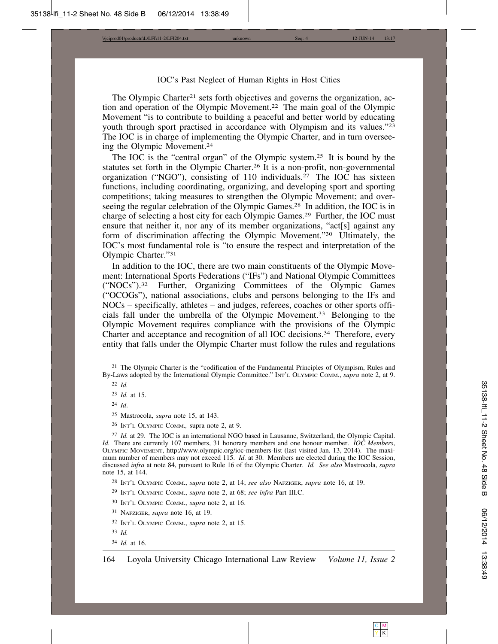\\jciprod01\productn\L\LFI\11-2\LFI204.txt unknown Seq: 4 12-JUN-14 13:17

#### IOC's Past Neglect of Human Rights in Host Cities

The Olympic Charter<sup>21</sup> sets forth objectives and governs the organization, action and operation of the Olympic Movement.22 The main goal of the Olympic Movement "is to contribute to building a peaceful and better world by educating youth through sport practised in accordance with Olympism and its values."23 The IOC is in charge of implementing the Olympic Charter, and in turn overseeing the Olympic Movement.24

The IOC is the "central organ" of the Olympic system.25 It is bound by the statutes set forth in the Olympic Charter.26 It is a non-profit, non-governmental organization ("NGO"), consisting of 110 individuals.<sup>27</sup> The IOC has sixteen functions, including coordinating, organizing, and developing sport and sporting competitions; taking measures to strengthen the Olympic Movement; and overseeing the regular celebration of the Olympic Games.<sup>28</sup> In addition, the IOC is in charge of selecting a host city for each Olympic Games.29 Further, the IOC must ensure that neither it, nor any of its member organizations, "act[s] against any form of discrimination affecting the Olympic Movement."30 Ultimately, the IOC's most fundamental role is "to ensure the respect and interpretation of the Olympic Charter."31

In addition to the IOC, there are two main constituents of the Olympic Movement: International Sports Federations ("IFs") and National Olympic Committees ("NOCs").32 Further, Organizing Committees of the Olympic Games ("OCOGs"), national associations, clubs and persons belonging to the IFs and NOCs – specifically, athletes – and judges, referees, coaches or other sports officials fall under the umbrella of the Olympic Movement.33 Belonging to the Olympic Movement requires compliance with the provisions of the Olympic Charter and acceptance and recognition of all IOC decisions.34 Therefore, every entity that falls under the Olympic Charter must follow the rules and regulations

24 *Id*.

25 Mastrocola, *supra* note 15, at 143.

26 INT'L OLYMPIC COMM.*,* supra note 2, at 9.

27 *Id.* at 29. The IOC is an international NGO based in Lausanne, Switzerland, the Olympic Capital. *Id.* There are currently 107 members, 31 honorary members and one honour member. *IOC Members*, OLYMPIC MOVEMENT, http://www.olympic.org/ioc-members-list (last visited Jan. 13, 2014). The maximum number of members may not exceed 115. *Id.* at 30. Members are elected during the IOC Session, discussed *infra* at note 84, pursuant to Rule 16 of the Olympic Charter. *Id. See also* Mastrocola, *supra* note 15, at 144.

28 INT'L OLYMPIC COMM., *supra* note 2, at 14; *see also* NAFZIGER, *supra* note 16, at 19.

- 29 INT'L OLYMPIC COMM., *supra* note 2, at 68; *see infra* Part III.C.
- 30 INT'L OLYMPIC COMM., *supra* note 2, at 16.
- 31 NAFZIGER, *supra* note 16, at 19.
- 32 INT'L OLYMPIC COMM., *supra* note 2, at 15.
- 33 *Id.*
- 34 *Id.* at 16.

<sup>&</sup>lt;sup>21</sup> The Olympic Charter is the "codification of the Fundamental Principles of Olympism, Rules and By-Laws adopted by the International Olympic Committee." INT'L OLYMPIC COMM., *supra* note 2, at 9. 22 *Id.*

<sup>23</sup> *Id.* at 15.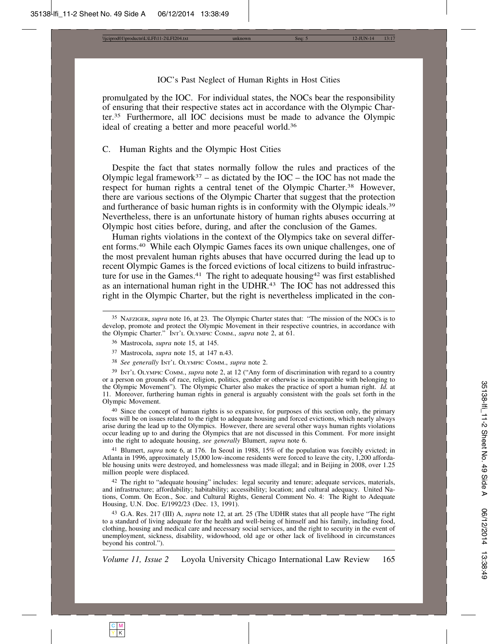\\jciprod01\productn\L\LFI\11-2\LFI204.txt unknown Seq: 5 12-JUN-14 13:17

#### IOC's Past Neglect of Human Rights in Host Cities

promulgated by the IOC. For individual states, the NOCs bear the responsibility of ensuring that their respective states act in accordance with the Olympic Charter.35 Furthermore, all IOC decisions must be made to advance the Olympic ideal of creating a better and more peaceful world.36

#### C. Human Rights and the Olympic Host Cities

Despite the fact that states normally follow the rules and practices of the Olympic legal framework<sup>37</sup> – as dictated by the IOC – the IOC has not made the respect for human rights a central tenet of the Olympic Charter.<sup>38</sup> However, there are various sections of the Olympic Charter that suggest that the protection and furtherance of basic human rights is in conformity with the Olympic ideals.<sup>39</sup> Nevertheless, there is an unfortunate history of human rights abuses occurring at Olympic host cities before, during, and after the conclusion of the Games.

Human rights violations in the context of the Olympics take on several different forms.40 While each Olympic Games faces its own unique challenges, one of the most prevalent human rights abuses that have occurred during the lead up to recent Olympic Games is the forced evictions of local citizens to build infrastructure for use in the Games.<sup>41</sup> The right to adequate housing<sup>42</sup> was first established as an international human right in the UDHR.<sup>43</sup> The IOC has not addressed this right in the Olympic Charter, but the right is nevertheless implicated in the con-

38 *See generally* INT'L OLYMPIC COMM., *supra* note 2.

39 INT'L OLYMPIC COMM., *supra* note 2, at 12 ("Any form of discrimination with regard to a country or a person on grounds of race, religion, politics, gender or otherwise is incompatible with belonging to the Olympic Movement"). The Olympic Charter also makes the practice of sport a human right. *Id.* at 11. Moreover, furthering human rights in general is arguably consistent with the goals set forth in the Olympic Movement.

40 Since the concept of human rights is so expansive, for purposes of this section only, the primary focus will be on issues related to the right to adequate housing and forced evictions, which nearly always arise during the lead up to the Olympics. However, there are several other ways human rights violations occur leading up to and during the Olympics that are not discussed in this Comment. For more insight into the right to adequate housing, *see generally* Blumert, *supra* note 6.

41 Blumert, *supra* note 6, at 176. In Seoul in 1988, 15% of the population was forcibly evicted; in Atlanta in 1996, approximately 15,000 low-income residents were forced to leave the city, 1,200 affordable housing units were destroyed, and homelessness was made illegal; and in Beijing in 2008, over 1.25 million people were displaced.

42 The right to "adequate housing" includes: legal security and tenure; adequate services, materials, and infrastructure; affordability; habitability; accessibility; location; and cultural adequacy. United Nations, Comm. On Econ., Soc. and Cultural Rights, General Comment No. 4: The Right to Adequate Housing, U.N. Doc. E/1992/23 (Dec. 13, 1991).

43 G.A. Res. 217 (III) A, *supra* note 12, at art. 25 (The UDHR states that all people have "The right to a standard of living adequate for the health and well-being of himself and his family, including food, clothing, housing and medical care and necessary social services, and the right to security in the event of unemployment, sickness, disability, widowhood, old age or other lack of livelihood in circumstances beyond his control.").

<sup>35</sup> NAFZIGER, *supra* note 16, at 23. The Olympic Charter states that: "The mission of the NOCs is to develop, promote and protect the Olympic Movement in their respective countries, in accordance with the Olympic Charter." INT'L OLYMPIC COMM., *supra* note 2, at 61.

<sup>36</sup> Mastrocola, *supra* note 15, at 145.

<sup>37</sup> Mastrocola, *supra* note 15, at 147 n.43.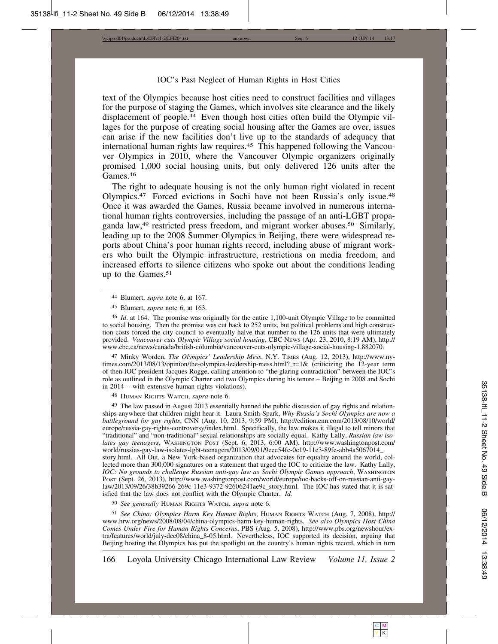\\jciprod01\productn\L\LFI\11-2\LFI204.txt unknown Seq: 6 12-JUN-14 13:17

#### IOC's Past Neglect of Human Rights in Host Cities

text of the Olympics because host cities need to construct facilities and villages for the purpose of staging the Games, which involves site clearance and the likely displacement of people.<sup>44</sup> Even though host cities often build the Olympic villages for the purpose of creating social housing after the Games are over, issues can arise if the new facilities don't live up to the standards of adequacy that international human rights law requires.<sup>45</sup> This happened following the Vancouver Olympics in 2010, where the Vancouver Olympic organizers originally promised 1,000 social housing units, but only delivered 126 units after the Games.46

The right to adequate housing is not the only human right violated in recent Olympics.47 Forced evictions in Sochi have not been Russia's only issue.48 Once it was awarded the Games, Russia became involved in numerous international human rights controversies, including the passage of an anti-LGBT propaganda law,<sup>49</sup> restricted press freedom, and migrant worker abuses.<sup>50</sup> Similarly, leading up to the 2008 Summer Olympics in Beijing, there were widespread reports about China's poor human rights record, including abuse of migrant workers who built the Olympic infrastructure, restrictions on media freedom, and increased efforts to silence citizens who spoke out about the conditions leading up to the Games.51

47 Minky Worden, *The Olympics' Leadership Mess*, N.Y. TIMES (Aug. 12, 2013), http://www.nytimes.com/2013/08/13/opinion/the-olympics-leadership-mess.html?\_r=1& (criticizing the 12-year term of then IOC president Jacques Rogge, calling attention to "the glaring contradiction" between the IOC's role as outlined in the Olympic Charter and two Olympics during his tenure – Beijing in 2008 and Sochi in 2014 – with extensive human rights violations).

48 HUMAN RIGHTS WATCH, *supra* note 6.

<sup>49</sup> The law passed in August 2013 essentially banned the public discussion of gay rights and relationships anywhere that children might hear it. Laura Smith-Spark, *Why Russia's Sochi Olympics are now a battleground for gay rights*, CNN (Aug. 10, 2013, 9:59 PM), http://edition.cnn.com/2013/08/10/world/ europe/russia-gay-rights-controversy/index.html. Specifically, the law makes it illegal to tell minors that "traditional" and "non-traditional" sexual relationships are socially equal. Kathy Lally, *Russian law isolates gay teenagers*, WASHINGTON POST (Sept. 6, 2013, 6:00 AM), http://www.washingtonpost.com/ world/russias-gay-law-isolates-lgbt-teenagers/2013/09/01/9eec54fc-0c19-11e3-89fe-abb4a5067014\_ story.html. All Out, a New York-based organization that advocates for equality around the world, collected more than 300,000 signatures on a statement that urged the IOC to criticize the law. Kathy Lally, *IOC: No grounds to challenge Russian anti-gay law as Sochi Olympic Games approach*, WASHINGTON POST (Sept. 26, 2013), http://www.washingtonpost.com/world/europe/ioc-backs-off-on-russian-anti-gaylaw/2013/09/26/38b39266-269c-11e3-9372-92606241ae9c\_story.html. The IOC has stated that it is satisfied that the law does not conflict with the Olympic Charter. *Id.*

50 *See generally* HUMAN RIGHTS WATCH, *supra* note 6.

51 *See China: Olympics Harm Key Human Rights*, HUMAN RIGHTS WATCH (Aug. 7, 2008), http:// www.hrw.org/news/2008/08/04/china-olympics-harm-key-human-rights. *See also Olympics Host China Comes Under Fire for Human Rights Concerns*, PBS (Aug. 5, 2008), http://www.pbs.org/newshour/extra/features/world/july-dec08/china\_8-05.html. Nevertheless, IOC supported its decision, arguing that Beijing hosting the Olympics has put the spotlight on the country's human rights record, which in turn

<sup>44</sup> Blumert, *supra* note 6, at 167.

<sup>45</sup> Blumert, *supra* note 6, at 163.

<sup>46</sup> *Id*. at 164. The promise was originally for the entire 1,100-unit Olympic Village to be committed to social housing. Then the promise was cut back to 252 units, but political problems and high construction costs forced the city council to eventually halve that number to the 126 units that were ultimately provided. *Vancouver cuts Olympic Village social housing*, CBC NEWS (Apr. 23, 2010, 8:19 AM), http:// www.cbc.ca/news/canada/british-columbia/vancouver-cuts-olympic-village-social-housing-1.882070.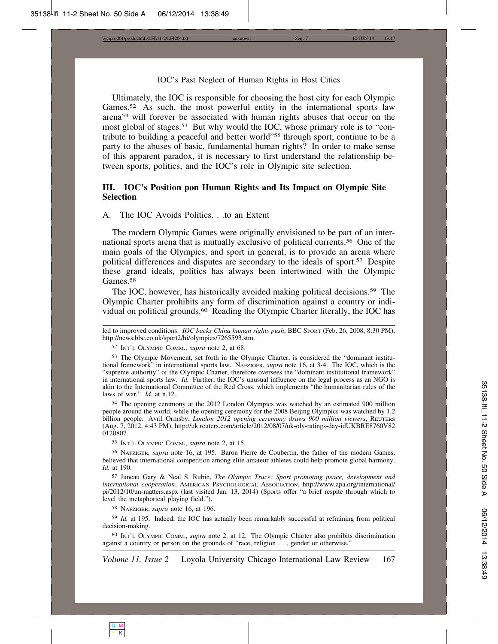\\jciprod01\productn\L\LFI\11-2\LFI204.txt unknown Seq: 7 12-JUN-14 13:17

#### IOC's Past Neglect of Human Rights in Host Cities

Ultimately, the IOC is responsible for choosing the host city for each Olympic Games.<sup>52</sup> As such, the most powerful entity in the international sports law arena53 will forever be associated with human rights abuses that occur on the most global of stages.<sup>54</sup> But why would the IOC, whose primary role is to "contribute to building a peaceful and better world"55 through sport, continue to be a party to the abuses of basic, fundamental human rights? In order to make sense of this apparent paradox, it is necessary to first understand the relationship between sports, politics, and the IOC's role in Olympic site selection.

#### **III. IOC's Position pon Human Rights and Its Impact on Olympic Site Selection**

#### A. The IOC Avoids Politics. . .to an Extent

The modern Olympic Games were originally envisioned to be part of an international sports arena that is mutually exclusive of political currents.56 One of the main goals of the Olympics, and sport in general, is to provide an arena where political differences and disputes are secondary to the ideals of sport.57 Despite these grand ideals, politics has always been intertwined with the Olympic Games.<sup>58</sup>

The IOC, however, has historically avoided making political decisions.59 The Olympic Charter prohibits any form of discrimination against a country or individual on political grounds.60 Reading the Olympic Charter literally, the IOC has

52 INT'L OLYMPIC COMM., *supra* note 2, at 68.

53 The Olympic Movement, set forth in the Olympic Charter, is considered the "dominant institutional framework" in international sports law. NAFZIGER, *supra* note 16, at 3-4. The IOC, which is the "supreme authority" of the Olympic Charter, therefore oversees the "dominant institutional framework" in international sports law. *Id.* Further, the IOC's unusual influence on the legal process as an NGO is akin to the International Committee of the Red Cross, which implements "the humanitarian rules of the laws of war." *Id.* at n.12.

54 The opening ceremony at the 2012 London Olympics was watched by an estimated 900 million people around the world, while the opening ceremony for the 2008 Beijing Olympics was watched by 1.2 billion people. Avril Ormsby, *London 2012 opening ceremony draws 900 million viewers*, REUTERS (Aug. 7, 2012, 4:43 PM), http://uk.reuters.com/article/2012/08/07/uk-oly-ratings-day-idUKBRE8760V82 0120807.

55 INT'L OLYMPIC COMM., *supra* note 2, at 15.

56 NAFZIGER*, supra* note 16, at 195. Baron Pierre de Coubertin, the father of the modern Games, believed that international competition among elite amateur athletes could help promote global harmony. *Id.* at 190.

57 Juneau Gary & Neal S. Rubin, *The Olympic Truce: Sport promoting peace, development and international cooperation*, AMERICAN PSYCHOLOGICAL ASSOCIATION, http://www.apa.org/international/ pi/2012/10/un-matters.aspx (last visited Jan. 13, 2014) (Sports offer "a brief respite through which to level the metaphorical playing field.").

58 NAFZIGER, *supra* note 16, at 196.

59 *Id.* at 195. Indeed, the IOC has actually been remarkably successful at refraining from political decision-making.

60 INT'L OLYMPIC COMM., *supra* note 2, at 12. The Olympic Charter also prohibits discrimination against a country or person on the grounds of "race, religion . . . gender or otherwise."



led to improved conditions. *IOC backs China human rights push*, BBC SPORT (Feb. 26, 2008, 8:30 PM), http://news.bbc.co.uk/sport2/hi/olympics/7265593.stm.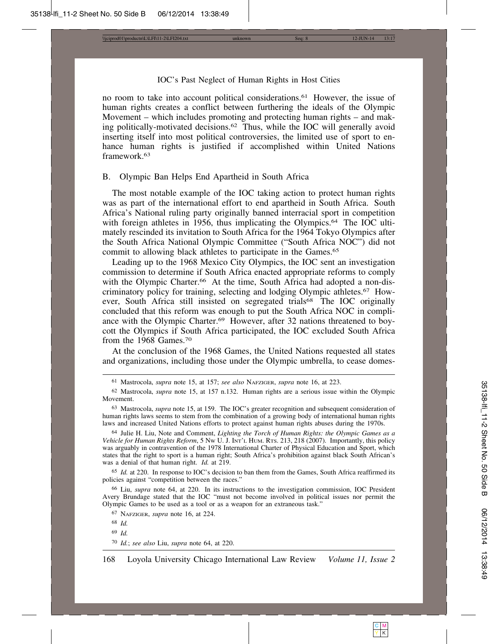\\jciprod01\productn\L\LFI\11-2\LFI204.txt unknown Seq: 8 12-JUN-14 13:17

#### IOC's Past Neglect of Human Rights in Host Cities

no room to take into account political considerations.61 However, the issue of human rights creates a conflict between furthering the ideals of the Olympic Movement – which includes promoting and protecting human rights – and making politically-motivated decisions.62 Thus, while the IOC will generally avoid inserting itself into most political controversies, the limited use of sport to enhance human rights is justified if accomplished within United Nations framework.<sup>63</sup>

#### B. Olympic Ban Helps End Apartheid in South Africa

The most notable example of the IOC taking action to protect human rights was as part of the international effort to end apartheid in South Africa. South Africa's National ruling party originally banned interracial sport in competition with foreign athletes in 1956, thus implicating the Olympics.<sup>64</sup> The IOC ultimately rescinded its invitation to South Africa for the 1964 Tokyo Olympics after the South Africa National Olympic Committee ("South Africa NOC") did not commit to allowing black athletes to participate in the Games.<sup>65</sup>

Leading up to the 1968 Mexico City Olympics, the IOC sent an investigation commission to determine if South Africa enacted appropriate reforms to comply with the Olympic Charter.<sup>66</sup> At the time, South Africa had adopted a non-discriminatory policy for training, selecting and lodging Olympic athletes.67 However, South Africa still insisted on segregated trials<sup>68</sup> The IOC originally concluded that this reform was enough to put the South Africa NOC in compliance with the Olympic Charter.<sup>69</sup> However, after 32 nations threatened to boycott the Olympics if South Africa participated, the IOC excluded South Africa from the 1968 Games.70

At the conclusion of the 1968 Games, the United Nations requested all states and organizations, including those under the Olympic umbrella, to cease domes-

64 Julie H. Liu, Note and Comment, *Lighting the Torch of Human Rights: the Olympic Games as a Vehicle for Human Rights Reform*, 5 NW U. J. INT'L HUM. RTS. 213, 218 (2007). Importantly, this policy was arguably in contravention of the 1978 International Charter of Physical Education and Sport, which states that the right to sport is a human right; South Africa's prohibition against black South African's was a denial of that human right. *Id.* at 219.

65 *Id.* at 220. In response to IOC's decision to ban them from the Games, South Africa reaffirmed its policies against "competition between the races."

66 Liu, *supra* note 64, at 220. In its instructions to the investigation commission, IOC President Avery Brundage stated that the IOC "must not become involved in political issues nor permit the Olympic Games to be used as a tool or as a weapon for an extraneous task."

67 NAFZIGER, *supra* note 16, at 224.

68 *Id.*

69 *Id.*

70 *Id.*; *see also* Liu, *supra* note 64, at 220.

<sup>61</sup> Mastrocola, *supra* note 15, at 157; *see also* NAFZIGER, *supra* note 16, at 223.

<sup>62</sup> Mastrocola, *supra* note 15, at 157 n.132. Human rights are a serious issue within the Olympic Movement.

<sup>63</sup> Mastrocola, *supra* note 15, at 159. The IOC's greater recognition and subsequent consideration of human rights laws seems to stem from the combination of a growing body of international human rights laws and increased United Nations efforts to protect against human rights abuses during the 1970s.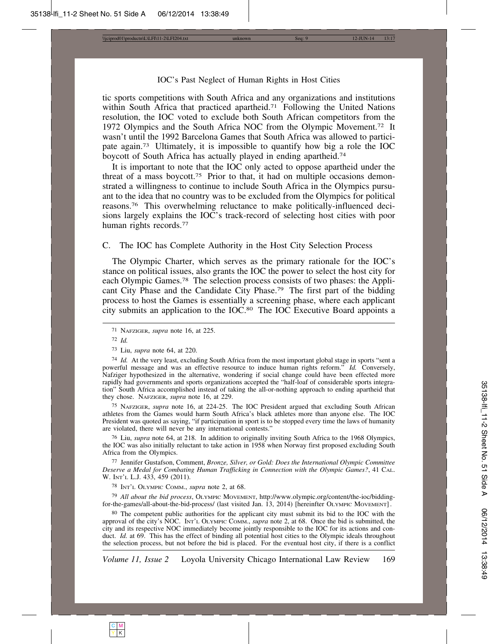\\jciprod01\productn\L\LFI\11-2\LFI204.txt unknown Seq: 9 12-JUN-14 13:17

#### IOC's Past Neglect of Human Rights in Host Cities

tic sports competitions with South Africa and any organizations and institutions within South Africa that practiced apartheid.<sup>71</sup> Following the United Nations resolution, the IOC voted to exclude both South African competitors from the 1972 Olympics and the South Africa NOC from the Olympic Movement.72 It wasn't until the 1992 Barcelona Games that South Africa was allowed to participate again.73 Ultimately, it is impossible to quantify how big a role the IOC boycott of South Africa has actually played in ending apartheid.<sup>74</sup>

It is important to note that the IOC only acted to oppose apartheid under the threat of a mass boycott.75 Prior to that, it had on multiple occasions demonstrated a willingness to continue to include South Africa in the Olympics pursuant to the idea that no country was to be excluded from the Olympics for political reasons.76 This overwhelming reluctance to make politically-influenced decisions largely explains the IOC's track-record of selecting host cities with poor human rights records.<sup>77</sup>

#### C. The IOC has Complete Authority in the Host City Selection Process

The Olympic Charter, which serves as the primary rationale for the IOC's stance on political issues, also grants the IOC the power to select the host city for each Olympic Games.78 The selection process consists of two phases: the Applicant City Phase and the Candidate City Phase.79 The first part of the bidding process to host the Games is essentially a screening phase, where each applicant city submits an application to the IOC.80 The IOC Executive Board appoints a

72 *Id.*

73 Liu, *supra* note 64, at 220.

75 NAFZIGER, *supra* note 16, at 224-25. The IOC President argued that excluding South African athletes from the Games would harm South Africa's black athletes more than anyone else. The IOC President was quoted as saying, "if participation in sport is to be stopped every time the laws of humanity are violated, there will never be any international contests."

76 Liu, *supra* note 64, at 218. In addition to originally inviting South Africa to the 1968 Olympics, the IOC was also initially reluctant to take action in 1958 when Norway first proposed excluding South Africa from the Olympics.

77 Jennifer Gustafson, Comment, *Bronze, Silver, or Gold: Does the International Olympic Committee Deserve a Medal for Combating Human Trafficking in Connection with the Olympic Games?*, 41 CAL. W. INT'L L.J. 433, 459 (2011).

78 INT'L OLYMPIC COMM., *supra* note 2, at 68.

79 *All about the bid process*, OLYMPIC MOVEMENT, http://www.olympic.org/content/the-ioc/biddingfor-the-games/all-about-the-bid-process/ (last visited Jan. 13, 2014) [hereinfter OLYMPIC MOVEMENT] .

80 The competent public authorities for the applicant city must submit its bid to the IOC with the approval of the city's NOC. INT'L OLYMPIC COMM., *supra* note 2, at 68. Once the bid is submitted, the city and its respective NOC immediately become jointly responsible to the IOC for its actions and conduct. *Id.* at 69. This has the effect of binding all potential host cities to the Olympic ideals throughout the selection process, but not before the bid is placed. For the eventual host city, if there is a conflict

C M Y | K

<sup>71</sup> NAFZIGER, *supra* note 16, at 225.

<sup>74</sup> *Id.* At the very least, excluding South Africa from the most important global stage in sports "sent a powerful message and was an effective resource to induce human rights reform." *Id.* Conversely, Nafziger hypothesized in the alternative, wondering if social change could have been effected more rapidly had governments and sports organizations accepted the "half-loaf of considerable sports integration" South Africa accomplished instead of taking the all-or-nothing approach to ending apartheid that they chose. NAFZIGER, *supra* note 16, at 229.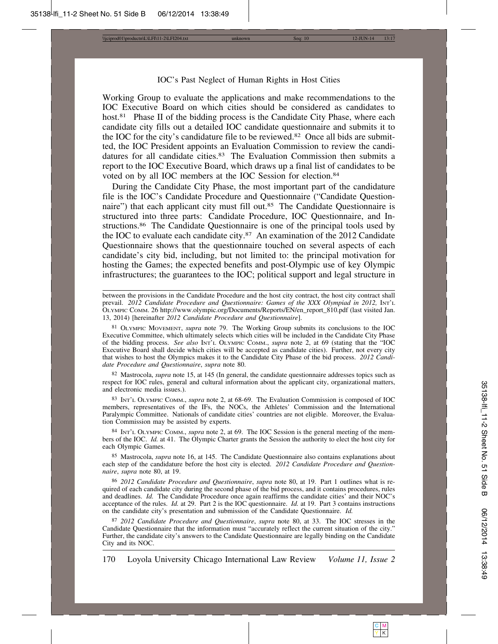\\jciprod01\productn\L\LFI\11-2\LFI204.txt unknown Seq: 10 12-JUN-14 13:17

#### IOC's Past Neglect of Human Rights in Host Cities

Working Group to evaluate the applications and make recommendations to the IOC Executive Board on which cities should be considered as candidates to host.<sup>81</sup> Phase II of the bidding process is the Candidate City Phase, where each candidate city fills out a detailed IOC candidate questionnaire and submits it to the IOC for the city's candidature file to be reviewed.82 Once all bids are submitted, the IOC President appoints an Evaluation Commission to review the candidatures for all candidate cities.<sup>83</sup> The Evaluation Commission then submits a report to the IOC Executive Board, which draws up a final list of candidates to be voted on by all IOC members at the IOC Session for election.84

During the Candidate City Phase, the most important part of the candidature file is the IOC's Candidate Procedure and Questionnaire ("Candidate Questionnaire") that each applicant city must fill out.<sup>85</sup> The Candidate Questionnaire is structured into three parts: Candidate Procedure, IOC Questionnaire, and Instructions.86 The Candidate Questionnaire is one of the principal tools used by the IOC to evaluate each candidate city.87 An examination of the 2012 Candidate Questionnaire shows that the questionnaire touched on several aspects of each candidate's city bid, including, but not limited to: the principal motivation for hosting the Games; the expected benefits and post-Olympic use of key Olympic infrastructures; the guarantees to the IOC; political support and legal structure in

81 OLYMPIC MOVEMENT, *supra* note 79. The Working Group submits its conclusions to the IOC Executive Committee, which ultimately selects which cities will be included in the Candidate City Phase of the bidding process. *See also* INT'L OLYMPIC COMM., *supra* note 2, at 69 (stating that the "IOC Executive Board shall decide which cities will be accepted as candidate cities). Further, not every city that wishes to host the Olympics makes it to the Candidate City Phase of the bid process. *2012 Candidate Procedure and Questionnaire*, *supra* note 80.

82 Mastrocola, *supra* note 15, at 145 (In general, the candidate questionnaire addresses topics such as respect for IOC rules, general and cultural information about the applicant city, organizational matters, and electronic media issues.).

83 INT'L OLYMPIC COMM., *supra* note 2, at 68-69. The Evaluation Commission is composed of IOC members, representatives of the IFs, the NOCs, the Athletes' Commission and the International Paralympic Committee. Nationals of candidate cities' countries are not eligible. Moreover, the Evaluation Commission may be assisted by experts.

84 INT'L OLYMPIC COMM., *supra* note 2, at 69. The IOC Session is the general meeting of the members of the IOC. *Id.* at 41. The Olympic Charter grants the Session the authority to elect the host city for each Olympic Games.

85 Mastrocola, *supra* note 16, at 145. The Candidate Questionnaire also contains explanations about each step of the candidature before the host city is elected. *2012 Candidate Procedure and Questionnaire*, *supra* note 80, at 19.

86 *2012 Candidate Procedure and Questionnaire*, *supra* note 80, at 19. Part 1 outlines what is required of each candidate city during the second phase of the bid process, and it contains procedures, rules and deadlines. *Id.* The Candidate Procedure once again reaffirms the candidate cities' and their NOC's acceptance of the rules. *Id.* at 29. Part 2 is the IOC questionnaire. *Id.* at 19. Part 3 contains instructions on the candidate city's presentation and submission of the Candidate Questionnaire. *Id.*

87 *2012 Candidate Procedure and Questionnaire*, *supra* note 80, at 33. The IOC stresses in the Candidate Questionnaire that the information must "accurately reflect the current situation of the city." Further, the candidate city's answers to the Candidate Questionnaire are legally binding on the Candidate City and its NOC.

between the provisions in the Candidate Procedure and the host city contract, the host city contract shall prevail. *2012 Candidate Procedure and Ouestionnaire: Games of the XXX Olympiad in 2012*,  $\text{Inr}_L$ OLYMPIC COMM. 26 http://www.olympic.org/Documents/Reports/EN/en\_report\_810.pdf (last visited Jan. 13, 2014) [hereinafter *2012 Candidate Procedure and Questionnaire*].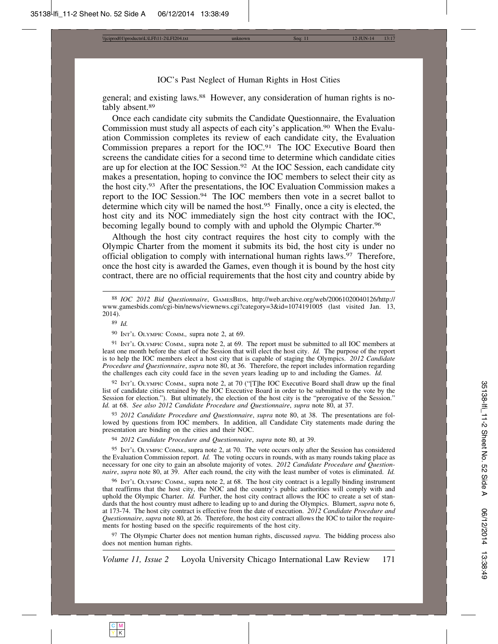\\jciprod01\productn\L\LFI\11-2\LFI204.txt unknown Seq: 11 12-JUN-14 13:17

#### IOC's Past Neglect of Human Rights in Host Cities

general; and existing laws.<sup>88</sup> However, any consideration of human rights is notably absent.89

Once each candidate city submits the Candidate Questionnaire, the Evaluation Commission must study all aspects of each city's application.90 When the Evaluation Commission completes its review of each candidate city, the Evaluation Commission prepares a report for the IOC.91 The IOC Executive Board then screens the candidate cities for a second time to determine which candidate cities are up for election at the IOC Session.<sup>92</sup> At the IOC Session, each candidate city makes a presentation, hoping to convince the IOC members to select their city as the host city.93 After the presentations, the IOC Evaluation Commission makes a report to the IOC Session.<sup>94</sup> The IOC members then vote in a secret ballot to determine which city will be named the host.<sup>95</sup> Finally, once a city is elected, the host city and its NOC immediately sign the host city contract with the IOC, becoming legally bound to comply with and uphold the Olympic Charter.<sup>96</sup>

Although the host city contract requires the host city to comply with the Olympic Charter from the moment it submits its bid, the host city is under no official obligation to comply with international human rights laws.97 Therefore, once the host city is awarded the Games, even though it is bound by the host city contract, there are no official requirements that the host city and country abide by

89 *Id.*

90 INT'L OLYMPIC COMM.*,* supra note 2, at 69.

91 INT'L OLYMPIC COMM.*,* supra note 2, at 69. The report must be submitted to all IOC members at least one month before the start of the Session that will elect the host city. *Id.* The purpose of the report is to help the IOC members elect a host city that is capable of staging the Olympics. *2012 Candidate Procedure and Questionnaire*, *supra* note 80, at 36. Therefore, the report includes information regarding the challenges each city could face in the seven years leading up to and including the Games. *Id.*

92 INT'L OLYMPIC COMM.*,* supra note 2, at 70 ("[T]he IOC Executive Board shall draw up the final list of candidate cities retained by the IOC Executive Board in order to be submitted to the vote by the Session for election."). But ultimately, the election of the host city is the "prerogative of the Session." *Id.* at 68. *See also 2012 Candidate Procedure and Questionnaire*, *supra* note 80, at 37.

93 *2012 Candidate Procedure and Questionnaire*, *supra* note 80, at 38. The presentations are followed by questions from IOC members. In addition, all Candidate City statements made during the presentation are binding on the cities and their NOC.

94 *2012 Candidate Procedure and Questionnaire*, *supra* note 80, at 39.

95 INT'L OLYMPIC COMM.*,* supra note 2, at 70. The vote occurs only after the Session has considered the Evaluation Commission report. *Id.* The voting occurs in rounds, with as many rounds taking place as necessary for one city to gain an absolute majority of votes. *2012 Candidate Procedure and Questionnaire*, *supra* note 80, at 39. After each round, the city with the least number of votes is eliminated. *Id.*

96 INT'L OLYMPIC COMM.*,* supra note 2, at 68. The host city contract is a legally binding instrument that reaffirms that the host city, the NOC and the country's public authorities will comply with and uphold the Olympic Charter. *Id.* Further, the host city contract allows the IOC to create a set of standards that the host country must adhere to leading up to and during the Olympics. Blumert, *supra* note 6, at 173-74. The host city contract is effective from the date of execution. *2012 Candidate Procedure and Questionnaire*, *supra* note 80, at 26. Therefore, the host city contract allows the IOC to tailor the requirements for hosting based on the specific requirements of the host city.

97 The Olympic Charter does not mention human rights, discussed *supra*. The bidding process also does not mention human rights.



<sup>88</sup> *IOC 2012 Bid Questionnaire*, GAMESBIDS, http://web.archive.org/web/20061020040126/http:// www.gamesbids.com/cgi-bin/news/viewnews.cgi?category=3&id=1074191005 (last visited Jan. 13, 2014).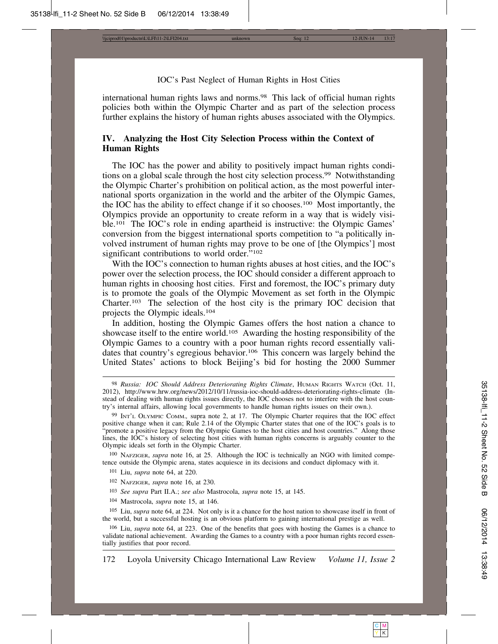\\jciprod01\productn\L\LFI\11-2\LFI204.txt unknown Seq: 12 12-JUN-14 13:17

#### IOC's Past Neglect of Human Rights in Host Cities

international human rights laws and norms.<sup>98</sup> This lack of official human rights policies both within the Olympic Charter and as part of the selection process further explains the history of human rights abuses associated with the Olympics.

#### **IV. Analyzing the Host City Selection Process within the Context of Human Rights**

The IOC has the power and ability to positively impact human rights conditions on a global scale through the host city selection process.99 Notwithstanding the Olympic Charter's prohibition on political action, as the most powerful international sports organization in the world and the arbiter of the Olympic Games, the IOC has the ability to effect change if it so chooses.100 Most importantly, the Olympics provide an opportunity to create reform in a way that is widely visible.<sup>101</sup> The IOC's role in ending apartheid is instructive: the Olympic Games' conversion from the biggest international sports competition to "a politically involved instrument of human rights may prove to be one of [the Olympics'] most significant contributions to world order."<sup>102</sup>

With the IOC's connection to human rights abuses at host cities, and the IOC's power over the selection process, the IOC should consider a different approach to human rights in choosing host cities. First and foremost, the IOC's primary duty is to promote the goals of the Olympic Movement as set forth in the Olympic Charter.103 The selection of the host city is the primary IOC decision that projects the Olympic ideals.104

In addition, hosting the Olympic Games offers the host nation a chance to showcase itself to the entire world.105 Awarding the hosting responsibility of the Olympic Games to a country with a poor human rights record essentially validates that country's egregious behavior.106 This concern was largely behind the United States' actions to block Beijing's bid for hosting the 2000 Summer

100 NAFZIGER, *supra* note 16, at 25. Although the IOC is technically an NGO with limited competence outside the Olympic arena, states acquiesce in its decisions and conduct diplomacy with it.

- 101 Liu, *supra* note 64, at 220.
- 102 NAFZIGER, *supra* note 16, at 230.
- 103 *See supra* Part II.A.; *see also* Mastrocola, *supra* note 15, at 145.
- 104 Mastrocola, *supra* note 15, at 146.

105 Liu, *supra* note 64, at 224. Not only is it a chance for the host nation to showcase itself in front of the world, but a successful hosting is an obvious platform to gaining international prestige as well.

106 Liu, *supra* note 64, at 223. One of the benefits that goes with hosting the Games is a chance to validate national achievement. Awarding the Games to a country with a poor human rights record essentially justifies that poor record.

<sup>98</sup> *Russia: IOC Should Address Deteriorating Rights Climate*, HUMAN RIGHTS WATCH (Oct. 11, 2012), http://www.hrw.org/news/2012/10/11/russia-ioc-should-address-deteriorating-rights-climate (Instead of dealing with human rights issues directly, the IOC chooses not to interfere with the host country's internal affairs, allowing local governments to handle human rights issues on their own.).

<sup>99</sup> INT'L OLYMPIC COMM.*,* supra note 2, at 17. The Olympic Charter requires that the IOC effect positive change when it can; Rule 2.14 of the Olympic Charter states that one of the IOC's goals is to "promote a positive legacy from the Olympic Games to the host cities and host countries." Along those lines, the IOC's history of selecting host cities with human rights concerns is arguably counter to the Olympic ideals set forth in the Olympic Charter.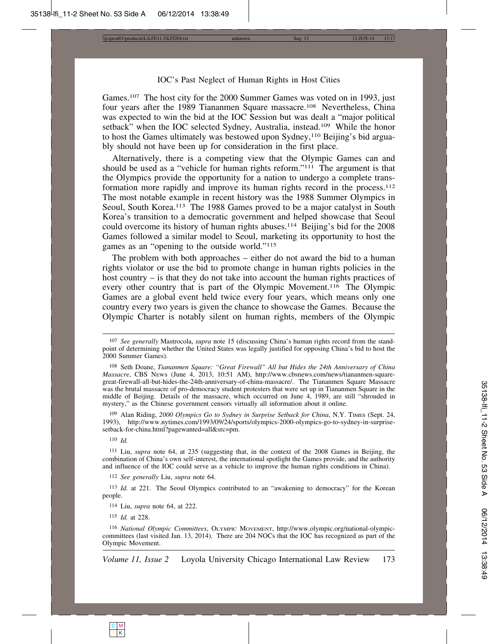\\jciprod01\productn\L\LFI\11-2\LFI204.txt unknown Seq: 13 12-JUN-14 13:17

#### IOC's Past Neglect of Human Rights in Host Cities

Games.<sup>107</sup> The host city for the 2000 Summer Games was voted on in 1993, just four years after the 1989 Tiananmen Square massacre.<sup>108</sup> Nevertheless, China was expected to win the bid at the IOC Session but was dealt a "major political setback" when the IOC selected Sydney, Australia, instead.<sup>109</sup> While the honor to host the Games ultimately was bestowed upon Sydney,110 Beijing's bid arguably should not have been up for consideration in the first place.

Alternatively, there is a competing view that the Olympic Games can and should be used as a "vehicle for human rights reform."111 The argument is that the Olympics provide the opportunity for a nation to undergo a complete transformation more rapidly and improve its human rights record in the process.<sup>112</sup> The most notable example in recent history was the 1988 Summer Olympics in Seoul, South Korea.<sup>113</sup> The 1988 Games proved to be a major catalyst in South Korea's transition to a democratic government and helped showcase that Seoul could overcome its history of human rights abuses.114 Beijing's bid for the 2008 Games followed a similar model to Seoul, marketing its opportunity to host the games as an "opening to the outside world."115

The problem with both approaches – either do not award the bid to a human rights violator or use the bid to promote change in human rights policies in the host country – is that they do not take into account the human rights practices of every other country that is part of the Olympic Movement.116 The Olympic Games are a global event held twice every four years, which means only one country every two years is given the chance to showcase the Games. Because the Olympic Charter is notably silent on human rights, members of the Olympic

109 Alan Riding, *2000 Olympics Go to Sydney in Surprise Setback for China*, N.Y. TIMES (Sept. 24, 1993), http://www.nytimes.com/1993/09/24/sports/olympics-2000-olympics-go-to-sydney-in-surprisesetback-for-china.html?pagewanted=all&src=pm.

110 *Id.*

111 Liu, *supra* note 64, at 235 (suggesting that, in the context of the 2008 Games in Beijing, the combination of China's own self-interest, the international spotlight the Games provide, and the authority and influence of the IOC could serve as a vehicle to improve the human rights conditions in China).

112 *See generally* Liu, *supra* note 64.

113 *Id.* at 221. The Seoul Olympics contributed to an "awakening to democracy" for the Korean people.

114 Liu, *supra* note 64, at 222.

115 *Id.* at 228.

116 *National Olympic Committees*, OLYMPIC MOVEMENT, http://www.olympic.org/national-olympiccommittees (last visited Jan. 13, 2014). There are 204 NOCs that the IOC has recognized as part of the Olympic Movement.

<sup>107</sup> *See generally* Mastrocola, *supra* note 15 (discussing China's human rights record from the standpoint of determining whether the United States was legally justified for opposing China's bid to host the 2000 Summer Games).

<sup>108</sup> Seth Doane, *Tiananmen Square: "Great Firewall" All but Hides the 24th Anniversary of China Massacre*, CBS NEWS (June 4, 2013, 10:51 AM), http://www.cbsnews.com/news/tiananmen-squaregreat-firewall-all-but-hides-the-24th-anniversary-of-china-massacre/. The Tiananmen Square Massacre was the brutal massacre of pro-democracy student protesters that were set up in Tiananmen Square in the middle of Beijing. Details of the massacre, which occurred on June 4, 1989, are still "shrouded in mystery," as the Chinese government censors virtually all information about it online.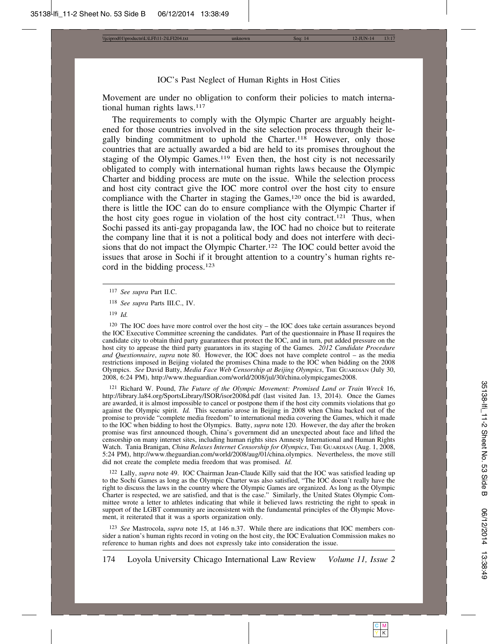\\jciprod01\productn\L\LFI\11-2\LFI204.txt unknown Seq: 14 12-JUN-14 13:17

#### IOC's Past Neglect of Human Rights in Host Cities

Movement are under no obligation to conform their policies to match international human rights laws.<sup>117</sup>

The requirements to comply with the Olympic Charter are arguably heightened for those countries involved in the site selection process through their legally binding commitment to uphold the Charter.118 However, only those countries that are actually awarded a bid are held to its promises throughout the staging of the Olympic Games.<sup>119</sup> Even then, the host city is not necessarily obligated to comply with international human rights laws because the Olympic Charter and bidding process are mute on the issue. While the selection process and host city contract give the IOC more control over the host city to ensure compliance with the Charter in staging the Games,<sup>120</sup> once the bid is awarded, there is little the IOC can do to ensure compliance with the Olympic Charter if the host city goes rogue in violation of the host city contract.121 Thus, when Sochi passed its anti-gay propaganda law, the IOC had no choice but to reiterate the company line that it is not a political body and does not interfere with decisions that do not impact the Olympic Charter.<sup>122</sup> The IOC could better avoid the issues that arose in Sochi if it brought attention to a country's human rights record in the bidding process.123

 $120$  The IOC does have more control over the host city – the IOC does take certain assurances beyond the IOC Executive Committee screening the candidates. Part of the questionnaire in Phase II requires the candidate city to obtain third party guarantees that protect the IOC, and in turn, put added pressure on the host city to appease the third party guarantors in its staging of the Games. *2012 Candidate Procedure and Questionnaire*, *supra* note 80. However, the IOC does not have complete control – as the media restrictions imposed in Beijing violated the promises China made to the IOC when bidding on the 2008 Olympics. *See* David Batty, *Media Face Web Censorship at Beijing Olympics*, THE GUARDIAN (July 30, 2008, 6:24 PM), http://www.theguardian.com/world/2008/jul/30/china.olympicgames2008.

121 Richard W. Pound, *The Future of the Olympic Movement: Promised Land or Train Wreck* 16, http://library.la84.org/SportsLibrary/ISOR/isor2008d.pdf (last visited Jan. 13, 2014). Once the Games are awarded, it is almost impossible to cancel or postpone them if the host city commits violations that go against the Olympic spirit. *Id.* This scenario arose in Beijing in 2008 when China backed out of the promise to provide "complete media freedom" to international media covering the Games, which it made to the IOC when bidding to host the Olympics. Batty, *supra* note 120. However, the day after the broken promise was first announced though, China's government did an unexpected about face and lifted the censorship on many internet sites, including human rights sites Amnesty International and Human Rights Watch. Tania Branigan, *China Relaxes Internet Censorship for Olympics*, THE GUARDIAN (Aug. 1, 2008, 5:24 PM), http://www.theguardian.com/world/2008/aug/01/china.olympics. Nevertheless, the move still did not create the complete media freedom that was promised. *Id.*

122 Lally, *supra* note 49. IOC Chairman Jean-Claude Killy said that the IOC was satisfied leading up to the Sochi Games as long as the Olympic Charter was also satisfied, "The IOC doesn't really have the right to discuss the laws in the country where the Olympic Games are organized. As long as the Olympic Charter is respected, we are satisfied, and that is the case." Similarly, the United States Olympic Committee wrote a letter to athletes indicating that while it believed laws restricting the right to speak in support of the LGBT community are inconsistent with the fundamental principles of the Olympic Movement, it reiterated that it was a sports organization only.

123 *See* Mastrocola, *supra* note 15, at 146 n.37. While there are indications that IOC members consider a nation's human rights record in voting on the host city, the IOC Evaluation Commission makes no reference to human rights and does not expressly take into consideration the issue.

<sup>117</sup> *See supra* Part II.C.

<sup>118</sup> *See supra* Parts III.C., IV.

<sup>119</sup> *Id.*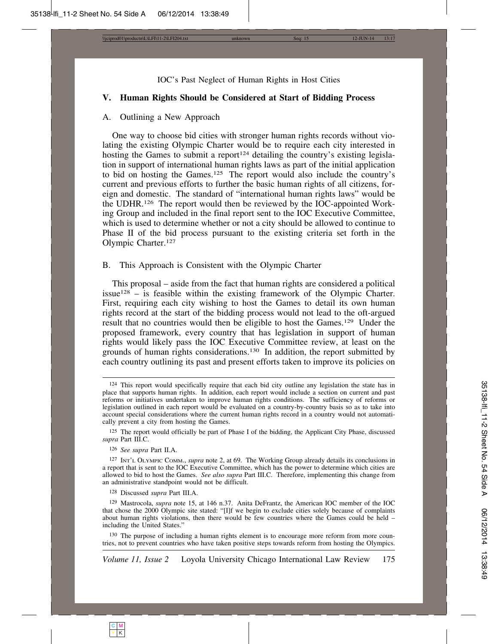\\jciprod01\productn\L\LFI\11-2\LFI204.txt unknown Seq: 15 12-JUN-14 13:17

IOC's Past Neglect of Human Rights in Host Cities

#### **V. Human Rights Should be Considered at Start of Bidding Process**

#### A. Outlining a New Approach

One way to choose bid cities with stronger human rights records without violating the existing Olympic Charter would be to require each city interested in hosting the Games to submit a report<sup>124</sup> detailing the country's existing legislation in support of international human rights laws as part of the initial application to bid on hosting the Games.125 The report would also include the country's current and previous efforts to further the basic human rights of all citizens, foreign and domestic. The standard of "international human rights laws" would be the UDHR.126 The report would then be reviewed by the IOC-appointed Working Group and included in the final report sent to the IOC Executive Committee, which is used to determine whether or not a city should be allowed to continue to Phase II of the bid process pursuant to the existing criteria set forth in the Olympic Charter.127

#### B. This Approach is Consistent with the Olympic Charter

This proposal – aside from the fact that human rights are considered a political issue<sup>128</sup> – is feasible within the existing framework of the Olympic Charter. First, requiring each city wishing to host the Games to detail its own human rights record at the start of the bidding process would not lead to the oft-argued result that no countries would then be eligible to host the Games.129 Under the proposed framework, every country that has legislation in support of human rights would likely pass the IOC Executive Committee review, at least on the grounds of human rights considerations.130 In addition, the report submitted by each country outlining its past and present efforts taken to improve its policies on

<sup>125</sup> The report would officially be part of Phase I of the bidding, the Applicant City Phase, discussed *supra* Part III.C.

126 *See supra* Part II.A.

127 INT'L OLYMPIC COMM., *supra* note 2, at 69. The Working Group already details its conclusions in a report that is sent to the IOC Executive Committee, which has the power to determine which cities are allowed to bid to host the Games. *See also supra* Part III.C. Therefore, implementing this change from an administrative standpoint would not be difficult.

128 Discussed *supra* Part III.A.

129 Mastrocola, *supra* note 15, at 146 n.37. Anita DeFrantz, the American IOC member of the IOC that chose the 2000 Olympic site stated: "[I]f we begin to exclude cities solely because of complaints about human rights violations, then there would be few countries where the Games could be held – including the United States."

130 The purpose of including a human rights element is to encourage more reform from more countries, not to prevent countries who have taken positive steps towards reform from hosting the Olympics.

<sup>124</sup> This report would specifically require that each bid city outline any legislation the state has in place that supports human rights. In addition, each report would include a section on current and past reforms or initiatives undertaken to improve human rights conditions. The sufficiency of reforms or legislation outlined in each report would be evaluated on a country-by-country basis so as to take into account special considerations where the current human rights record in a country would not automatically prevent a city from hosting the Games.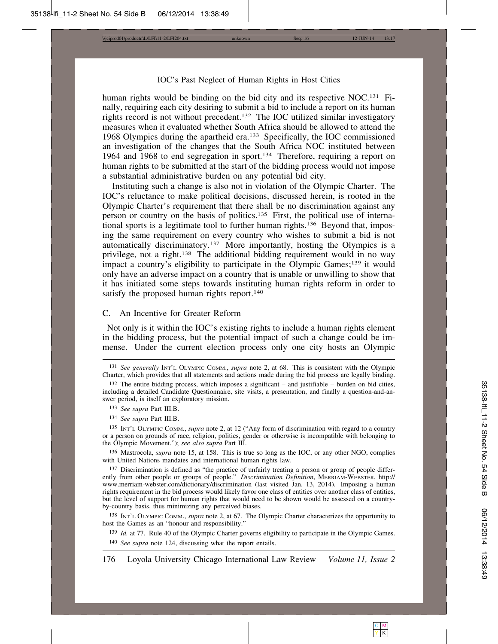\\jciprod01\productn\L\LFI\11-2\LFI204.txt unknown Seq: 16 12-JUN-14 13:17

#### IOC's Past Neglect of Human Rights in Host Cities

human rights would be binding on the bid city and its respective NOC.<sup>131</sup> Finally, requiring each city desiring to submit a bid to include a report on its human rights record is not without precedent.132 The IOC utilized similar investigatory measures when it evaluated whether South Africa should be allowed to attend the 1968 Olympics during the apartheid era.133 Specifically, the IOC commissioned an investigation of the changes that the South Africa NOC instituted between 1964 and 1968 to end segregation in sport.134 Therefore, requiring a report on human rights to be submitted at the start of the bidding process would not impose a substantial administrative burden on any potential bid city.

Instituting such a change is also not in violation of the Olympic Charter. The IOC's reluctance to make political decisions, discussed herein, is rooted in the Olympic Charter's requirement that there shall be no discrimination against any person or country on the basis of politics.135 First, the political use of international sports is a legitimate tool to further human rights.<sup>136</sup> Beyond that, imposing the same requirement on every country who wishes to submit a bid is not automatically discriminatory.137 More importantly, hosting the Olympics is a privilege, not a right.138 The additional bidding requirement would in no way impact a country's eligibility to participate in the Olympic Games;<sup>139</sup> it would only have an adverse impact on a country that is unable or unwilling to show that it has initiated some steps towards instituting human rights reform in order to satisfy the proposed human rights report.<sup>140</sup>

#### C. An Incentive for Greater Reform

 Not only is it within the IOC's existing rights to include a human rights element in the bidding process, but the potential impact of such a change could be immense. Under the current election process only one city hosts an Olympic

134 *See supra* Part III.B.

135 INT'L OLYMPIC COMM., *supra* note 2, at 12 ("Any form of discrimination with regard to a country or a person on grounds of race, religion, politics, gender or otherwise is incompatible with belonging to the Olympic Movement."); *see also supra* Part III.

136 Mastrocola, *supra* note 15, at 158. This is true so long as the IOC, or any other NGO, complies with United Nations mandates and international human rights law.

137 Discrimination is defined as "the practice of unfairly treating a person or group of people differently from other people or groups of people." *Discrimination Definition*, MERRIAM-WEBSTER, http:// www.merriam-webster.com/dictionary/discrimination (last visited Jan. 13, 2014). Imposing a human rights requirement in the bid process would likely favor one class of entities over another class of entities, but the level of support for human rights that would need to be shown would be assessed on a countryby-country basis, thus minimizing any perceived biases.

138 INT'L OLYMPIC COMM., *supra* note 2, at 67. The Olympic Charter characterizes the opportunity to host the Games as an "honour and responsibility."

139 *Id.* at 77. Rule 40 of the Olympic Charter governs eligibility to participate in the Olympic Games. 140 *See supra* note 124, discussing what the report entails.

<sup>131</sup> *See generally* INT'L OLYMPIC COMM., *supra* note 2, at 68. This is consistent with the Olympic Charter, which provides that all statements and actions made during the bid process are legally binding.

<sup>132</sup> The entire bidding process, which imposes a significant – and justifiable – burden on bid cities, including a detailed Candidate Questionnaire, site visits, a presentation, and finally a question-and-answer period, is itself an exploratory mission.

<sup>133</sup> *See supra* Part III.B.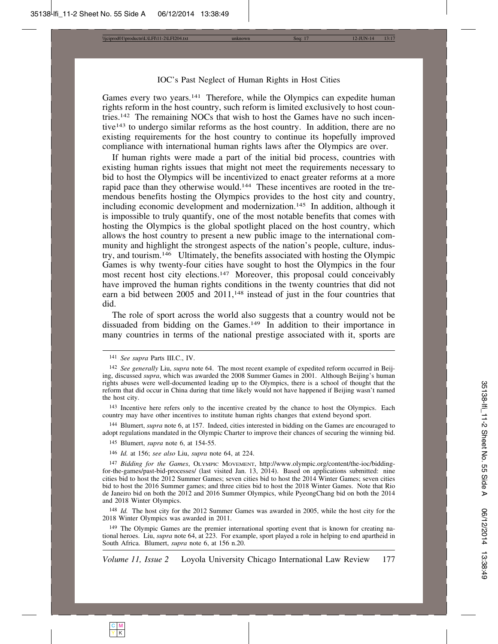\\jciprod01\productn\L\LFI\11-2\LFI204.txt unknown Seq: 17 12-JUN-14 13:17

#### IOC's Past Neglect of Human Rights in Host Cities

Games every two years.<sup>141</sup> Therefore, while the Olympics can expedite human rights reform in the host country, such reform is limited exclusively to host countries.142 The remaining NOCs that wish to host the Games have no such incentive143 to undergo similar reforms as the host country. In addition, there are no existing requirements for the host country to continue its hopefully improved compliance with international human rights laws after the Olympics are over.

If human rights were made a part of the initial bid process, countries with existing human rights issues that might not meet the requirements necessary to bid to host the Olympics will be incentivized to enact greater reforms at a more rapid pace than they otherwise would.<sup>144</sup> These incentives are rooted in the tremendous benefits hosting the Olympics provides to the host city and country, including economic development and modernization.<sup>145</sup> In addition, although it is impossible to truly quantify, one of the most notable benefits that comes with hosting the Olympics is the global spotlight placed on the host country, which allows the host country to present a new public image to the international community and highlight the strongest aspects of the nation's people, culture, industry, and tourism.146 Ultimately, the benefits associated with hosting the Olympic Games is why twenty-four cities have sought to host the Olympics in the four most recent host city elections.<sup>147</sup> Moreover, this proposal could conceivably have improved the human rights conditions in the twenty countries that did not earn a bid between 2005 and 2011,<sup>148</sup> instead of just in the four countries that did.

The role of sport across the world also suggests that a country would not be dissuaded from bidding on the Games.149 In addition to their importance in many countries in terms of the national prestige associated with it, sports are

144 Blumert, *supra* note 6, at 157. Indeed, cities interested in bidding on the Games are encouraged to adopt regulations mandated in the Olympic Charter to improve their chances of securing the winning bid.

146 *Id.* at 156; *see also* Liu, *supra* note 64, at 224.

148 *Id.* The host city for the 2012 Summer Games was awarded in 2005, while the host city for the 2018 Winter Olympics was awarded in 2011.

149 The Olympic Games are the premier international sporting event that is known for creating national heroes. Liu, *supra* note 64, at 223. For example, sport played a role in helping to end apartheid in South Africa. Blumert, *supra* note 6, at 156 n.20.

C M Y | K

<sup>141</sup> *See supra* Parts III.C., IV.

<sup>142</sup> *See generally* Liu, *supra* note 64. The most recent example of expedited reform occurred in Beijing, discussed *supra*, which was awarded the 2008 Summer Games in 2001. Although Beijing's human rights abuses were well-documented leading up to the Olympics, there is a school of thought that the reform that did occur in China during that time likely would not have happened if Beijing wasn't named the host city.

<sup>143</sup> Incentive here refers only to the incentive created by the chance to host the Olympics. Each country may have other incentives to institute human rights changes that extend beyond sport.

<sup>145</sup> Blumert, *supra* note 6, at 154-55.

<sup>147</sup> *Bidding for the Games*, OLYMPIC MOVEMENT, http://www.olympic.org/content/the-ioc/biddingfor-the-games/past-bid-processes/ (last visited Jan. 13, 2014). Based on applications submitted: nine cities bid to host the 2012 Summer Games; seven cities bid to host the 2014 Winter Games; seven cities bid to host the 2016 Summer games; and three cities bid to host the 2018 Winter Games. Note that Rio de Janeiro bid on both the 2012 and 2016 Summer Olympics, while PyeongChang bid on both the 2014 and 2018 Winter Olympics.